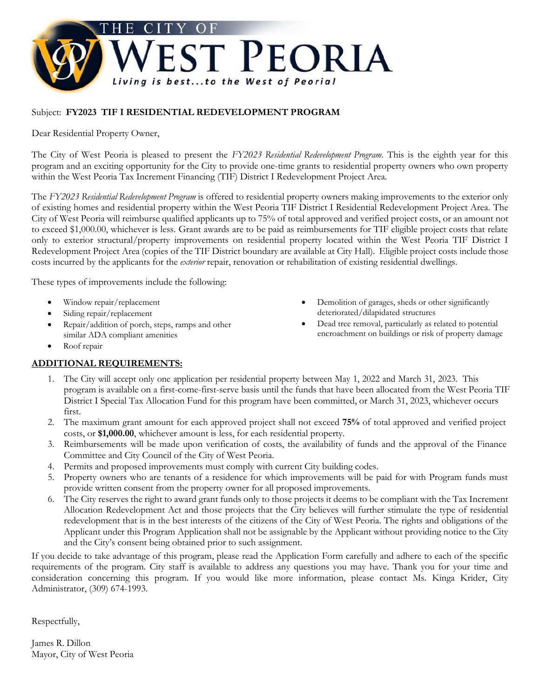

## Subject: **FY2023 TIF I RESIDENTIAL REDEVELOPMENT PROGRAM**

Dear Residential Property Owner,

The City of West Peoria is pleased to present the *FY2023 Residential Redevelopment Program*. This is the eighth year for this program and an exciting opportunity for the City to provide one-time grants to residential property owners who own property within the West Peoria Tax Increment Financing (TIF) District I Redevelopment Project Area.

The *FY2023 Residential Redevelopment Program* is offered to residential property owners making improvements to the exterior only of existing homes and residential property within the West Peoria TIF District I Residential Redevelopment Project Area. The City of West Peoria will reimburse qualified applicants up to 75% of total approved and verified project costs, or an amount not to exceed \$1,000.00, whichever is less. Grant awards are to be paid as reimbursements for TIF eligible project costs that relate only to exterior structural/property improvements on residential property located within the West Peoria TIF District I Redevelopment Project Area (copies of the TIF District boundary are available at City Hall). Eligible project costs include those costs incurred by the applicants for the *exterior* repair, renovation or rehabilitation of existing residential dwellings.

These types of improvements include the following:

- Window repair/replacement
- Siding repair/replacement
- Repair/addition of porch, steps, ramps and other similar ADA compliant amenities
- Roof repair

## **ADDITIONAL REQUIREMENTS:**

- Demolition of garages, sheds or other significantly deteriorated/dilapidated structures
- Dead tree removal, particularly as related to potential encroachment on buildings or risk of property damage
- 1. The City will accept only one application per residential property between May 1, 2022 and March 31, 2023. This program is available on a first-come-first-serve basis until the funds that have been allocated from the West Peoria TIF District I Special Tax Allocation Fund for this program have been committed, or March 31, 2023, whichever occurs first.
- 2. The maximum grant amount for each approved project shall not exceed **75%** of total approved and verified project costs, or **\$1,000.00**, whichever amount is less, for each residential property.
- 3. Reimbursements will be made upon verification of costs, the availability of funds and the approval of the Finance Committee and City Council of the City of West Peoria.
- 4. Permits and proposed improvements must comply with current City building codes.
- 5. Property owners who are tenants of a residence for which improvements will be paid for with Program funds must provide written consent from the property owner for all proposed improvements.
- 6. The City reserves the right to award grant funds only to those projects it deems to be compliant with the Tax Increment Allocation Redevelopment Act and those projects that the City believes will further stimulate the type of residential redevelopment that is in the best interests of the citizens of the City of West Peoria. The rights and obligations of the Applicant under this Program Application shall not be assignable by the Applicant without providing notice to the City and the City's consent being obtained prior to such assignment.

If you decide to take advantage of this program, please read the Application Form carefully and adhere to each of the specific requirements of the program. City staff is available to address any questions you may have. Thank you for your time and consideration concerning this program. If you would like more information, please contact Ms. Kinga Krider, City Administrator, (309) 674-1993.

Respectfully,

James R. Dillon Mayor, City of West Peoria